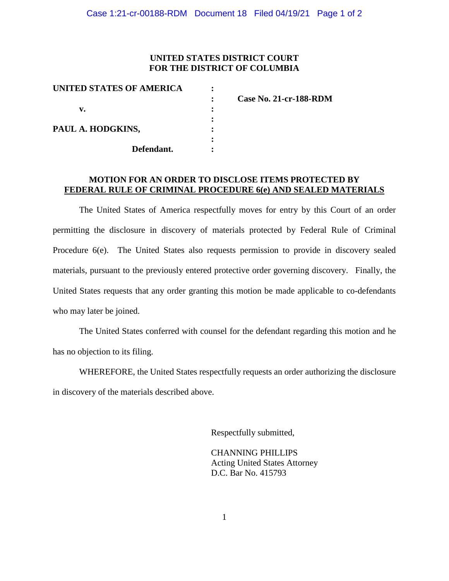## **UNITED STATES DISTRICT COURT FOR THE DISTRICT OF COLUMBIA**

| UNITED STATES OF AMERICA |                               |
|--------------------------|-------------------------------|
|                          | <b>Case No. 21-cr-188-RDM</b> |
| v.                       |                               |
|                          |                               |
| PAUL A. HODGKINS,        |                               |
|                          |                               |
| Defendant.               |                               |

## **MOTION FOR AN ORDER TO DISCLOSE ITEMS PROTECTED BY FEDERAL RULE OF CRIMINAL PROCEDURE 6(e) AND SEALED MATERIALS**

The United States of America respectfully moves for entry by this Court of an order permitting the disclosure in discovery of materials protected by Federal Rule of Criminal Procedure 6(e). The United States also requests permission to provide in discovery sealed materials, pursuant to the previously entered protective order governing discovery. Finally, the United States requests that any order granting this motion be made applicable to co-defendants who may later be joined.

The United States conferred with counsel for the defendant regarding this motion and he has no objection to its filing.

WHEREFORE, the United States respectfully requests an order authorizing the disclosure in discovery of the materials described above.

Respectfully submitted,

CHANNING PHILLIPS Acting United States Attorney D.C. Bar No. 415793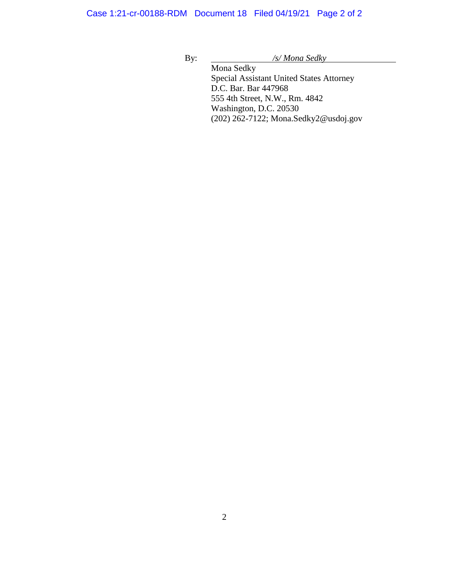Case 1:21-cr-00188-RDM Document 18 Filed 04/19/21 Page 2 of 2

By: */s/ Mona Sedky*

Mona Sedky Special Assistant United States Attorney D.C. Bar. Bar 447968 555 4th Street, N.W., Rm. 4842 Washington, D.C. 20530 (202) 262-7122; Mona.Sedky2@usdoj.gov